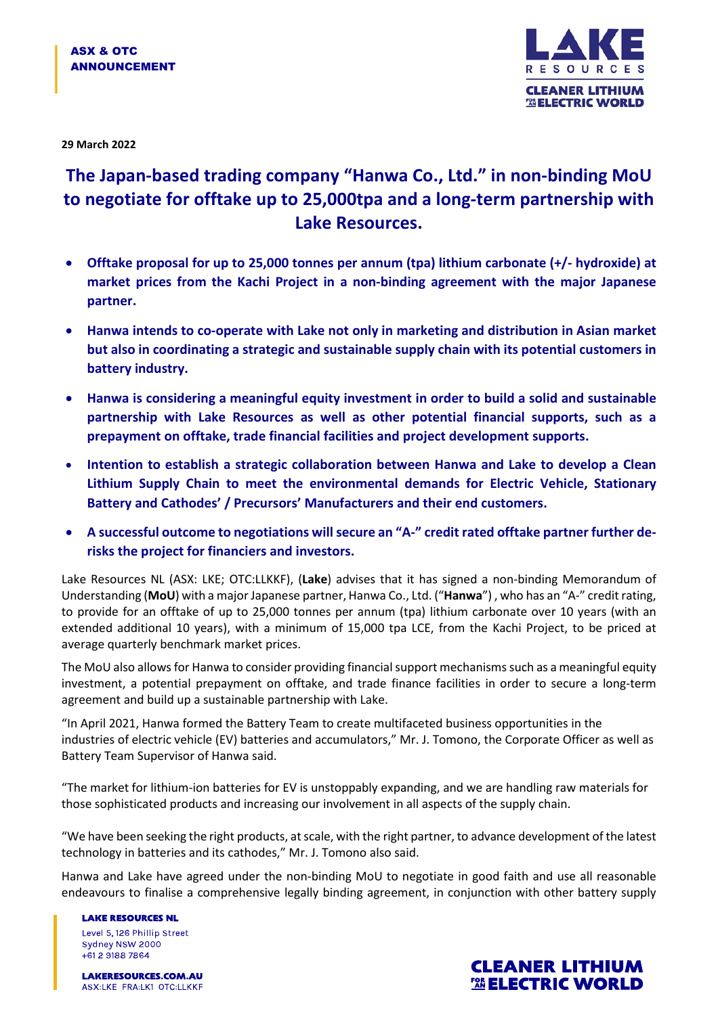

**29 March 2022**

## **The Japan-based trading company "Hanwa Co., Ltd." in non-binding MoU to negotiate for offtake up to 25,000tpa and a long-term partnership with Lake Resources.**

- **Offtake proposal for up to 25,000 tonnes per annum (tpa) lithium carbonate (+/- hydroxide) at market prices from the Kachi Project in a non-binding agreement with the major Japanese partner.**
- **Hanwa intends to co-operate with Lake not only in marketing and distribution in Asian market but also in coordinating a strategic and sustainable supply chain with its potential customers in battery industry.**
- **Hanwa is considering a meaningful equity investment in order to build a solid and sustainable partnership with Lake Resources as well as other potential financial supports, such as a prepayment on offtake, trade financial facilities and project development supports.**
- **Intention to establish a strategic collaboration between Hanwa and Lake to develop a Clean Lithium Supply Chain to meet the environmental demands for Electric Vehicle, Stationary Battery and Cathodes' / Precursors' Manufacturers and their end customers.**
- **A successful outcome to negotiations will secure an "A-" credit rated offtake partner further derisks the project for financiers and investors.**

Lake Resources NL (ASX: LKE; OTC:LLKKF), (**Lake**) advises that it has signed a non-binding Memorandum of Understanding (**MoU**) with a major Japanese partner, Hanwa Co., Ltd. ("**Hanwa**") , who has an "A-" credit rating, to provide for an offtake of up to 25,000 tonnes per annum (tpa) lithium carbonate over 10 years (with an extended additional 10 years), with a minimum of 15,000 tpa LCE, from the Kachi Project, to be priced at average quarterly benchmark market prices.

The MoU also allows for Hanwa to consider providing financial support mechanisms such as a meaningful equity investment, a potential prepayment on offtake, and trade finance facilities in order to secure a long-term agreement and build up a sustainable partnership with Lake.

"In April 2021, Hanwa formed the Battery Team to create multifaceted business opportunities in the industries of electric vehicle (EV) batteries and accumulators," Mr. J. Tomono, the Corporate Officer as well as Battery Team Supervisor of Hanwa said.

"The market for lithium-ion batteries for EV is unstoppably expanding, and we are handling raw materials for those sophisticated products and increasing our involvement in all aspects of the supply chain.

"We have been seeking the right products, at scale, with the right partner, to advance development of the latest technology in batteries and its cathodes," Mr. J. Tomono also said.

Hanwa and Lake have agreed under the non-binding MoU to negotiate in good faith and use all reasonable endeavours to finalise a comprehensive legally binding agreement, in conjunction with other battery supply

**LAKE RESOURCES NL** Level 5, 126 Phillip Street Sydney NSW 2000 +61 2 9188 7864

**LAKERESOURCES.COM.AU** ASX:LKE FRA:LK1 OTC:LLKKF

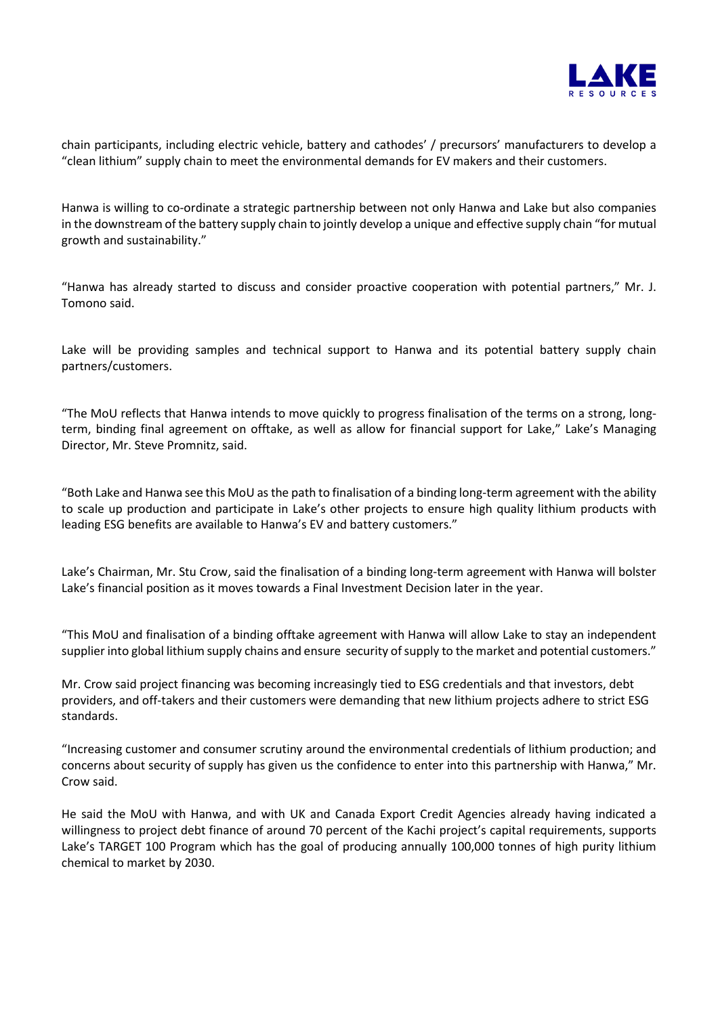

chain participants, including electric vehicle, battery and cathodes' / precursors' manufacturers to develop a "clean lithium" supply chain to meet the environmental demands for EV makers and their customers.

Hanwa is willing to co-ordinate a strategic partnership between not only Hanwa and Lake but also companies in the downstream of the battery supply chain to jointly develop a unique and effective supply chain "for mutual growth and sustainability."

"Hanwa has already started to discuss and consider proactive cooperation with potential partners," Mr. J. Tomono said.

Lake will be providing samples and technical support to Hanwa and its potential battery supply chain partners/customers.

"The MoU reflects that Hanwa intends to move quickly to progress finalisation of the terms on a strong, longterm, binding final agreement on offtake, as well as allow for financial support for Lake," Lake's Managing Director, Mr. Steve Promnitz, said.

"Both Lake and Hanwa see this MoU as the path to finalisation of a binding long-term agreement with the ability to scale up production and participate in Lake's other projects to ensure high quality lithium products with leading ESG benefits are available to Hanwa's EV and battery customers."

Lake's Chairman, Mr. Stu Crow, said the finalisation of a binding long-term agreement with Hanwa will bolster Lake's financial position as it moves towards a Final Investment Decision later in the year.

"This MoU and finalisation of a binding offtake agreement with Hanwa will allow Lake to stay an independent supplier into global lithium supply chains and ensure security of supply to the market and potential customers."

Mr. Crow said project financing was becoming increasingly tied to ESG credentials and that investors, debt providers, and off-takers and their customers were demanding that new lithium projects adhere to strict ESG standards.

"Increasing customer and consumer scrutiny around the environmental credentials of lithium production; and concerns about security of supply has given us the confidence to enter into this partnership with Hanwa," Mr. Crow said.

He said the MoU with Hanwa, and with UK and Canada Export Credit Agencies already having indicated a willingness to project debt finance of around 70 percent of the Kachi project's capital requirements, supports Lake's TARGET 100 Program which has the goal of producing annually 100,000 tonnes of high purity lithium chemical to market by 2030.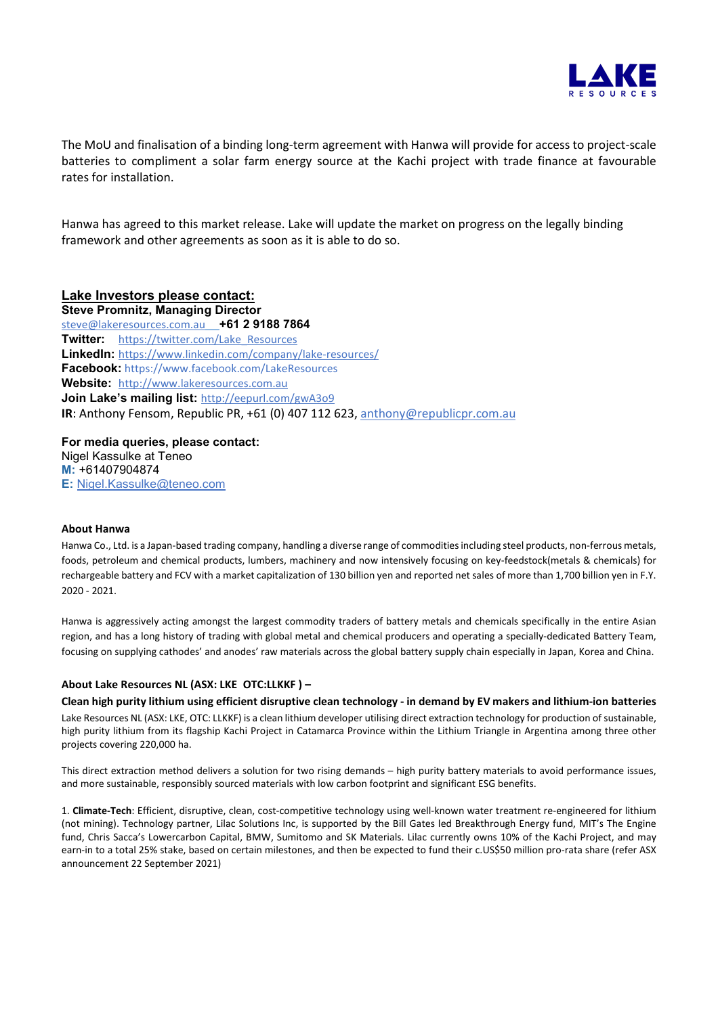

The MoU and finalisation of a binding long-term agreement with Hanwa will provide for access to project-scale batteries to compliment a solar farm energy source at the Kachi project with trade finance at favourable rates for installation.

Hanwa has agreed to this market release. Lake will update the market on progress on the legally binding framework and other agreements as soon as it is able to do so.

## **Lake Investors please contact:**

**Steve Promnitz, Managing Director**  [steve@lakeresources.com.au](mailto:steve@lakeresources.com.au) **+61 2 9188 7864 Twitter:** [https://twitter.com/Lake\\_Resources](https://twitter.com/Lake_Resources) **LinkedIn:** <https://www.linkedin.com/company/lake-resources/> **Facebook:** https://www.facebook.com/LakeResources **Website:** [http://www.lakeresources.com.au](http://www.lakeresources.com.au/) **Join Lake's mailing list:** <http://eepurl.com/gwA3o9> **IR**: Anthony Fensom, Republic PR, +61 (0) 407 112 623, [anthony@republicpr.com.au](mailto:anthony@republicpr.com.au)

**For media queries, please contact:** Nigel Kassulke at Teneo **M:** +61407904874 **E:** [Nigel.Kassulke@teneo.com](mailto:Nigel.Kassulke@teneo.com)

## **About Hanwa**

Hanwa Co., Ltd. is a Japan-based trading company, handling a diverse range of commodities including steel products, non-ferrous metals, foods, petroleum and chemical products, lumbers, machinery and now intensively focusing on key-feedstock(metals & chemicals) for rechargeable battery and FCV with a market capitalization of 130 billion yen and reported net sales of more than 1,700 billion yen in F.Y. 2020 - 2021.

Hanwa is aggressively acting amongst the largest commodity traders of battery metals and chemicals specifically in the entire Asian region, and has a long history of trading with global metal and chemical producers and operating a specially-dedicated Battery Team, focusing on supplying cathodes' and anodes' raw materials across the global battery supply chain especially in Japan, Korea and China.

## **About Lake Resources NL (ASX: LKE OTC:LLKKF ) –**

**Clean high purity lithium using efficient disruptive clean technology - in demand by EV makers and lithium-ion batteries** Lake Resources NL (ASX: LKE, OTC: LLKKF) is a clean lithium developer utilising direct extraction technology for production of sustainable, high purity lithium from its flagship Kachi Project in Catamarca Province within the Lithium Triangle in Argentina among three other projects covering 220,000 ha.

This direct extraction method delivers a solution for two rising demands – high purity battery materials to avoid performance issues, and more sustainable, responsibly sourced materials with low carbon footprint and significant ESG benefits.

1. **Climate-Tech**: Efficient, disruptive, clean, cost-competitive technology using well-known water treatment re-engineered for lithium (not mining). Technology partner, Lilac Solutions Inc, is supported by the Bill Gates led Breakthrough Energy fund, MIT's The Engine fund, Chris Sacca's Lowercarbon Capital, BMW, Sumitomo and SK Materials. Lilac currently owns 10% of the Kachi Project, and may earn-in to a total 25% stake, based on certain milestones, and then be expected to fund their c.US\$50 million pro-rata share (refer ASX announcement 22 September 2021)